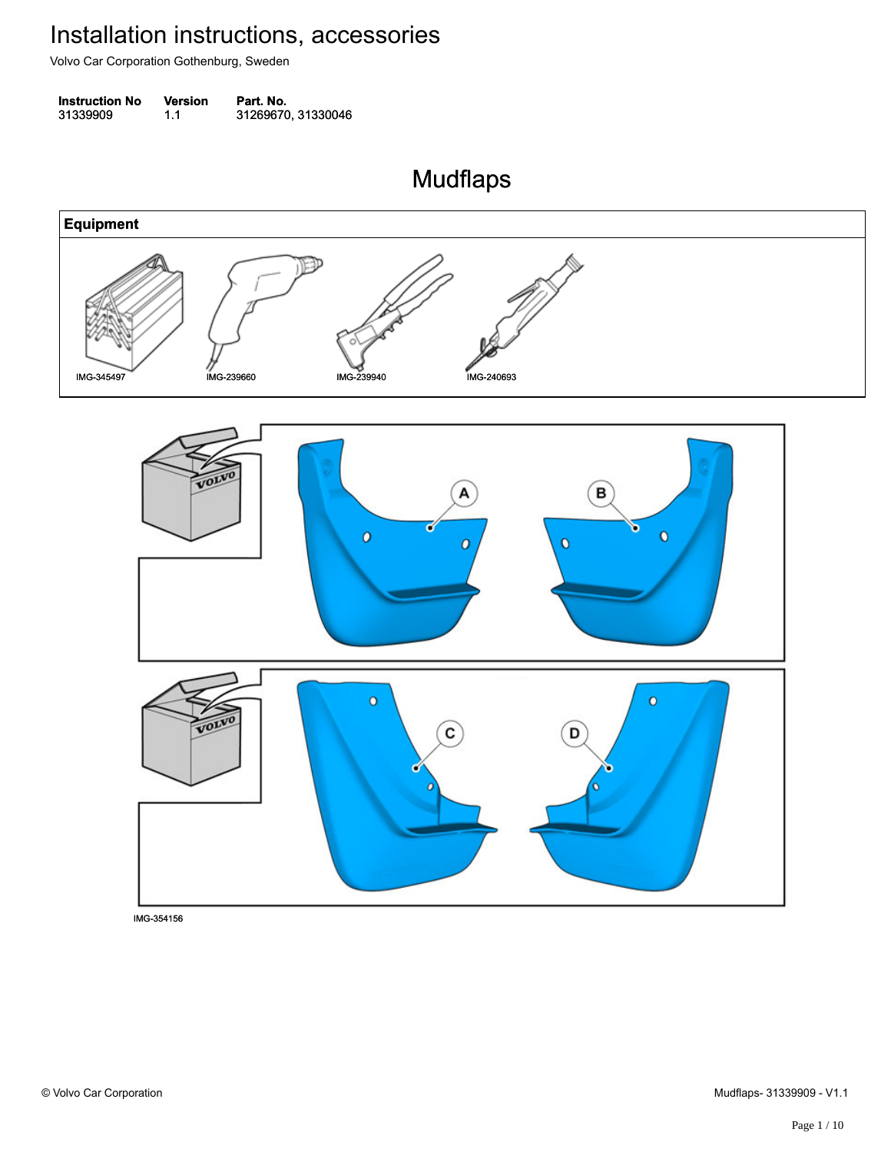Volvo Car Corporation Gothenburg, Sweden

| <b>Instruction No</b> | <b>Version</b> | Part. No.          |
|-----------------------|----------------|--------------------|
| 31339909              | 1.1            | 31269670, 31330046 |

Mudflaps Mudflaps

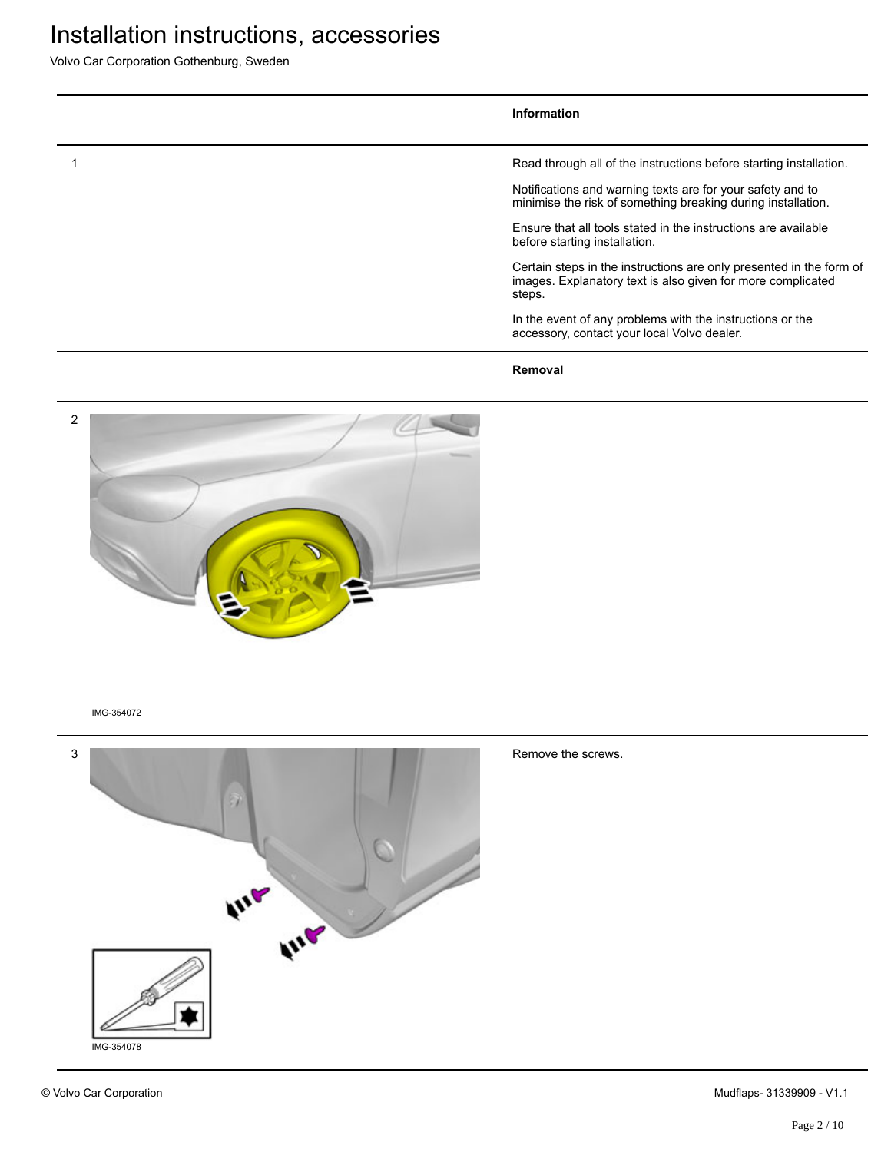Volvo Car Corporation Gothenburg, Sweden

#### **Information**

1 Read through all of the instructions before starting installation.

Notifications and warning texts are for your safety and to minimise the risk of something breaking during installation.

Ensure that all tools stated in the instructions are available before starting installation.

Certain steps in the instructions are only presented in the form of images. Explanatory text is also given for more complicated steps.

In the event of any problems with the instructions or the accessory, contact your local Volvo dealer.

**Removal**





© Volvo Car Corporation Mudflaps- 31339909 - V1.1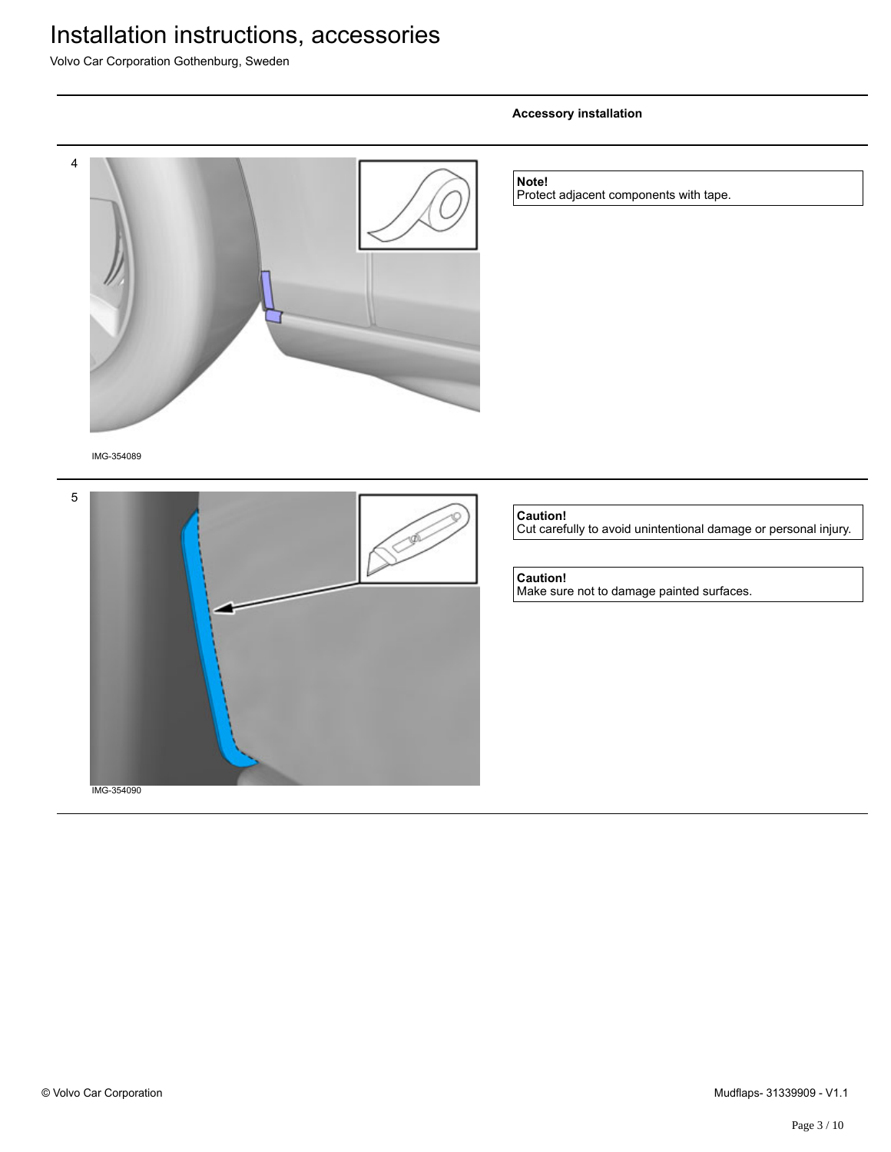Volvo Car Corporation Gothenburg, Sweden

# 4 IMG-354089 **Note!** Protect adjacent components with tape. 5 **Caution!** Cut carefully to avoid unintentional damage or personal injury. **Caution!** Make sure not to damage painted surfaces.

**Accessory installation**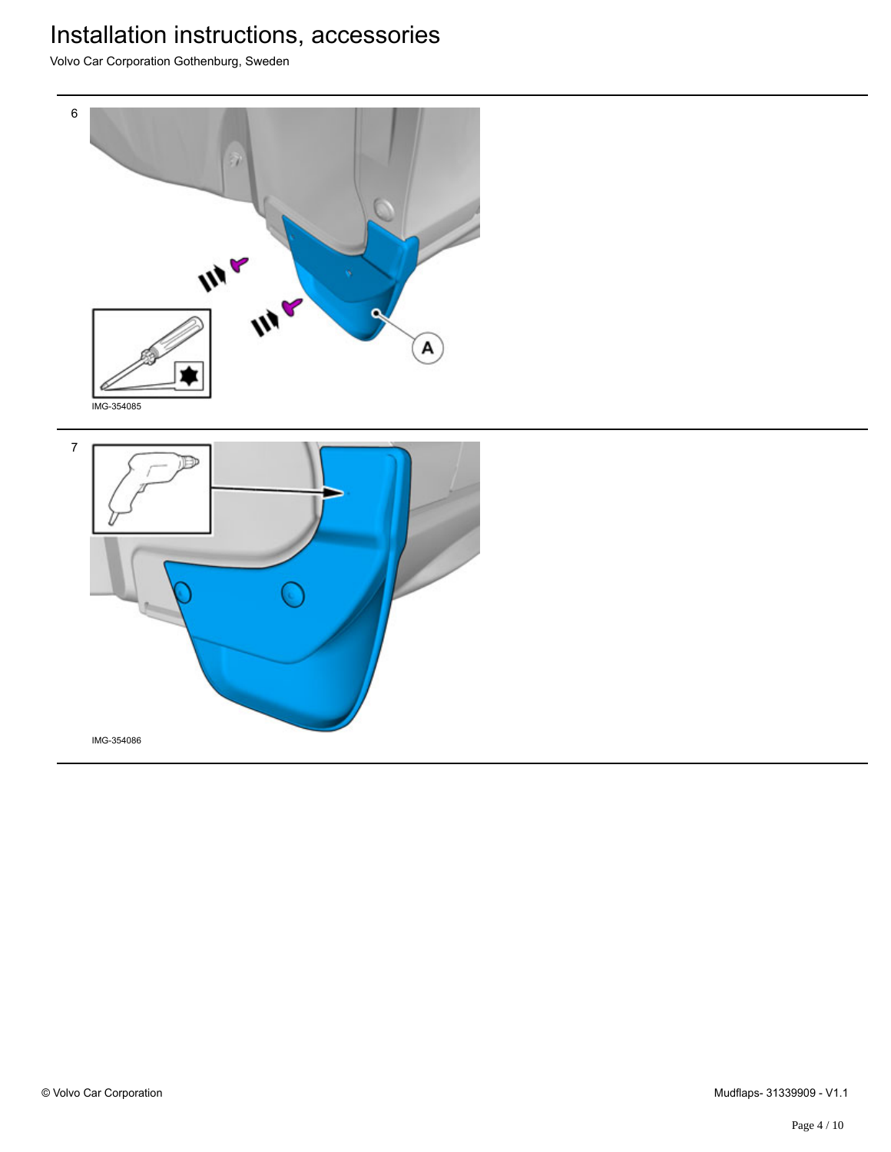Volvo Car Corporation Gothenburg, Sweden



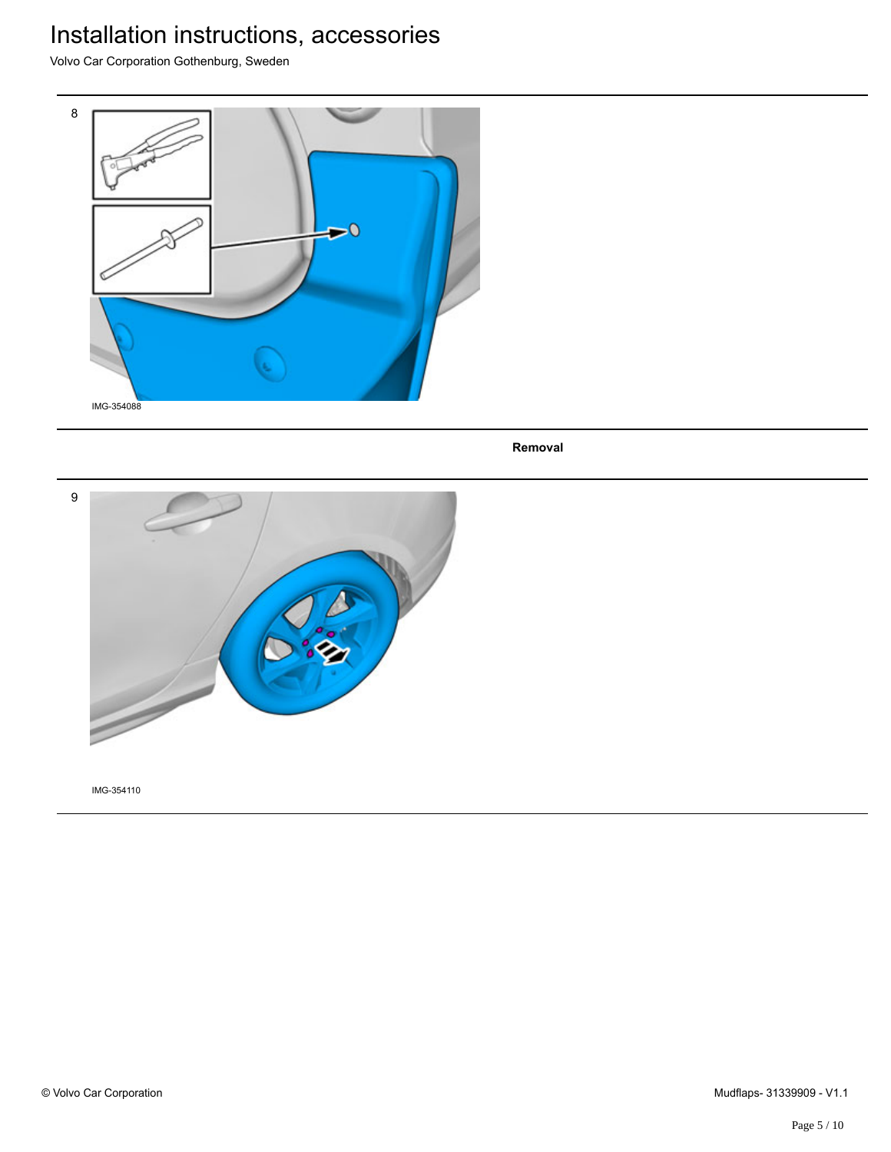Volvo Car Corporation Gothenburg, Sweden



**Removal**

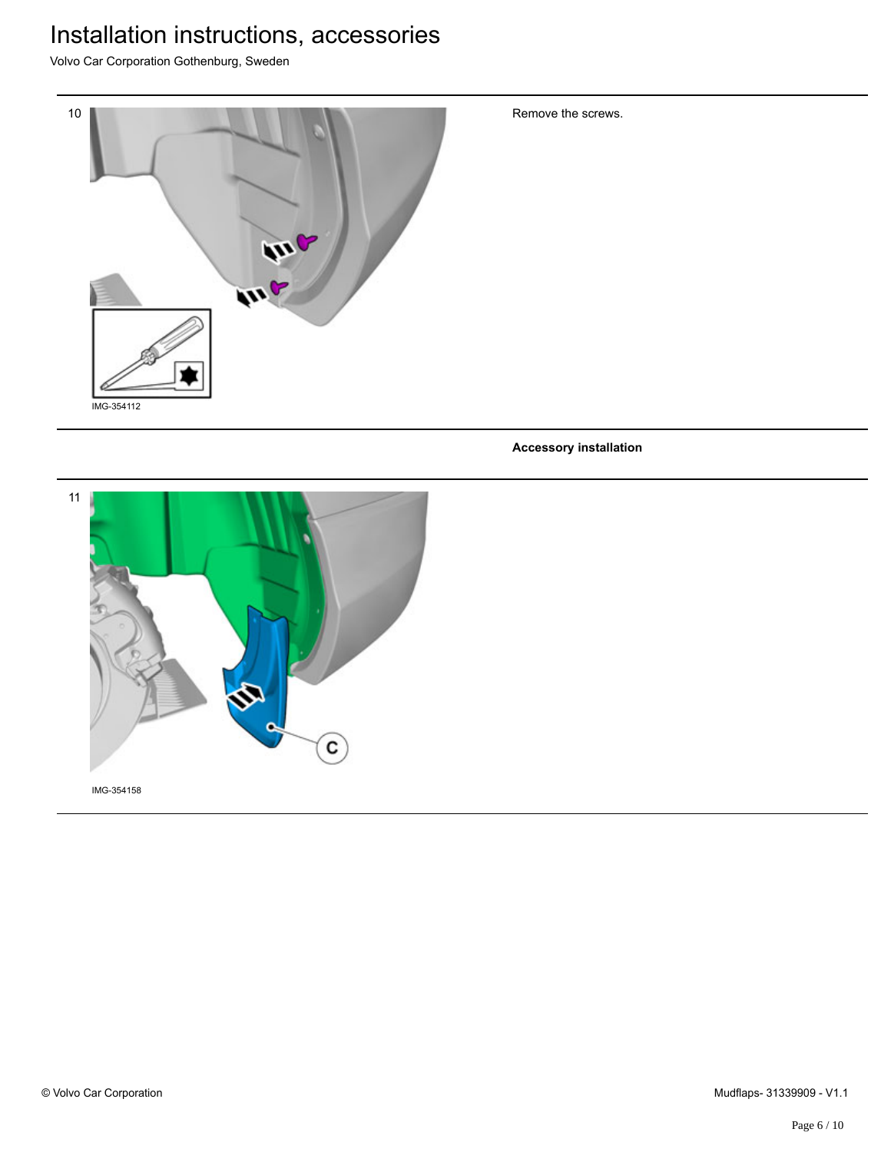Volvo Car Corporation Gothenburg, Sweden



Remove the screws.

**Accessory installation**

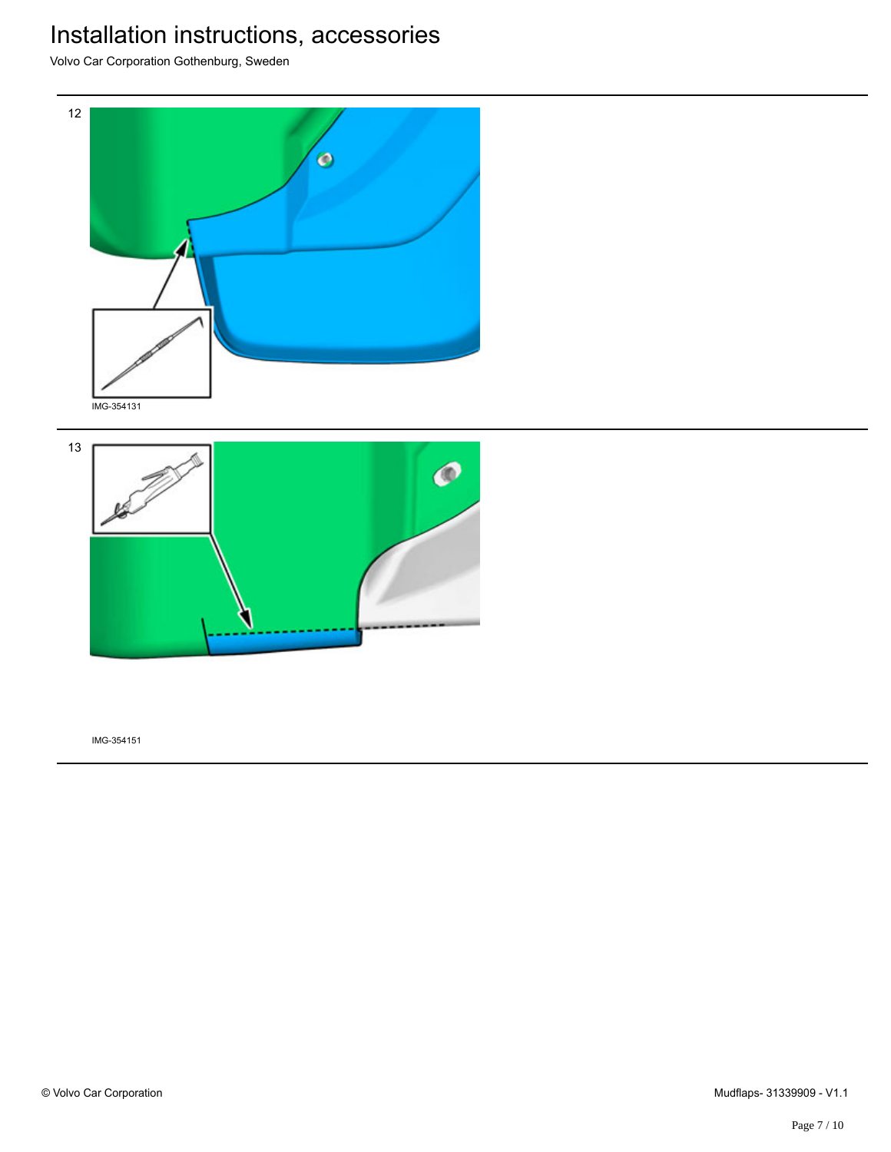Volvo Car Corporation Gothenburg, Sweden



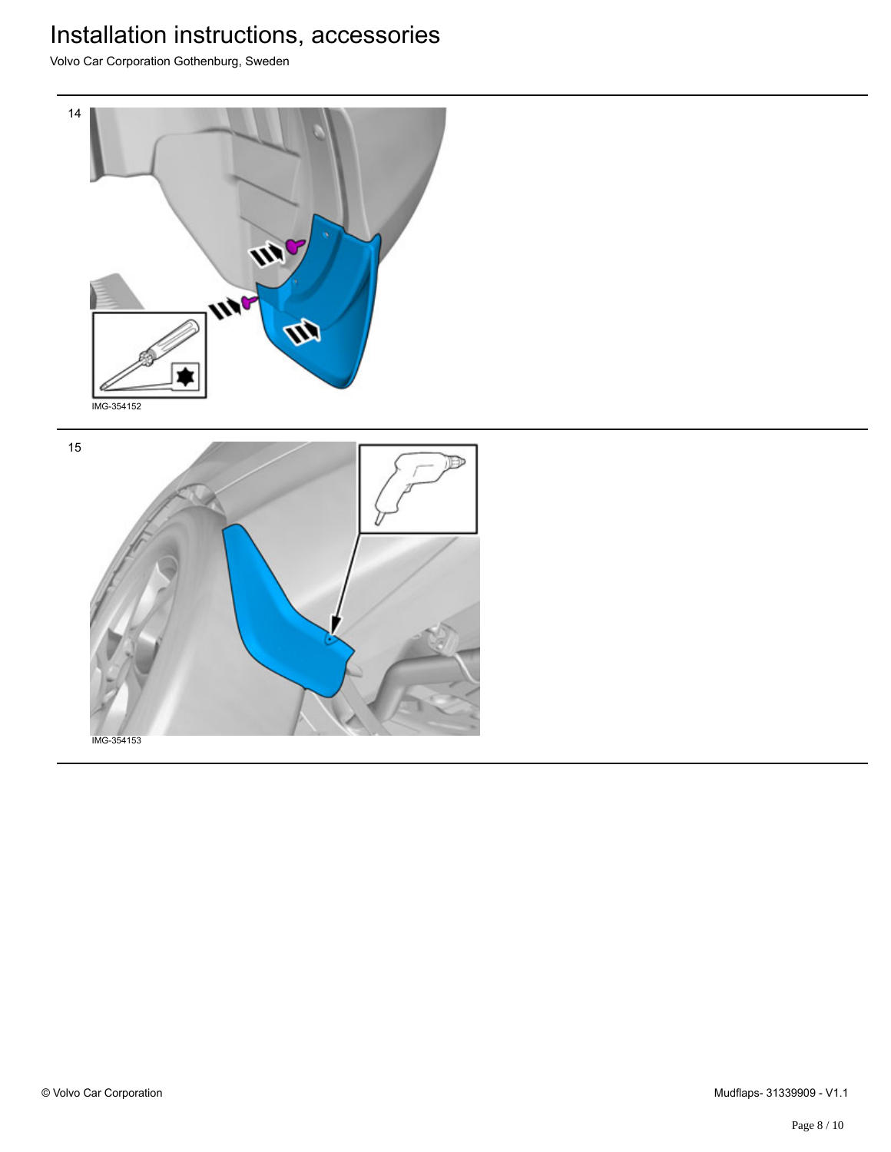Volvo Car Corporation Gothenburg, Sweden



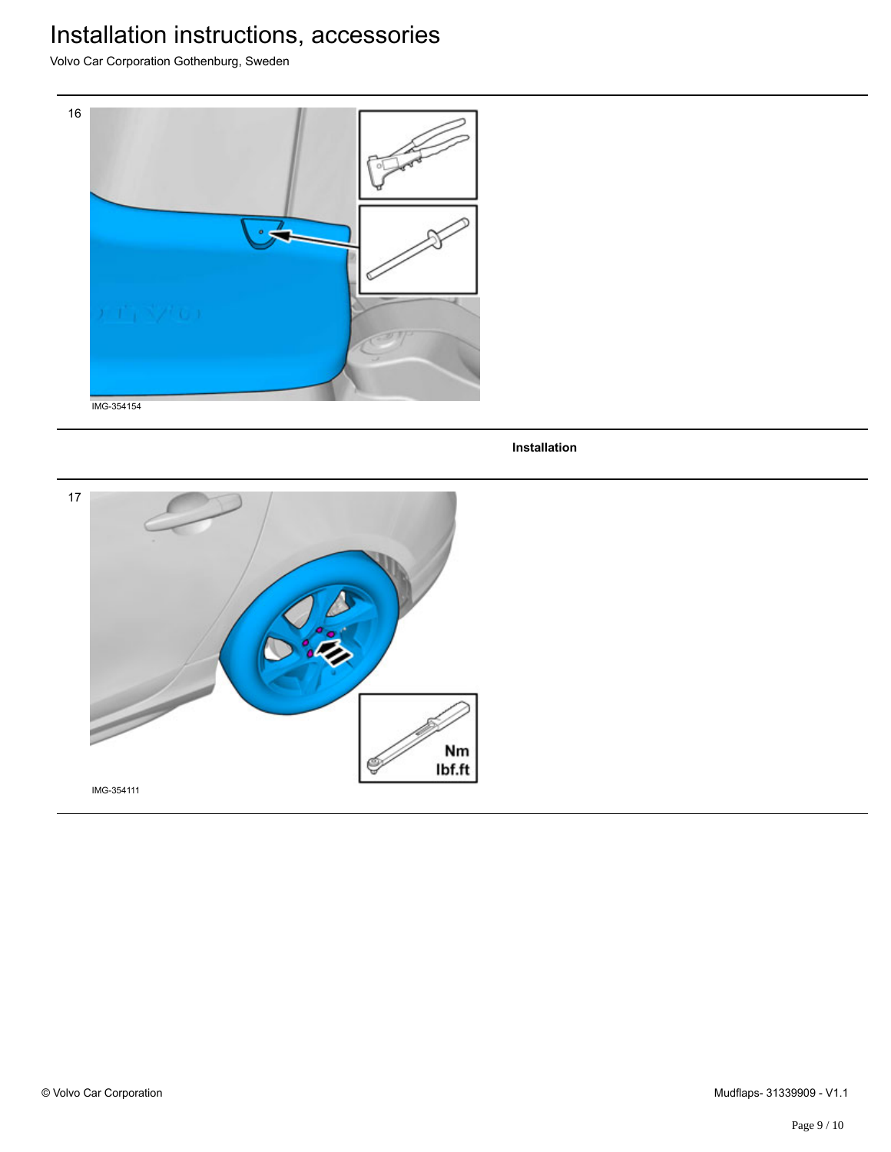Volvo Car Corporation Gothenburg, Sweden



**Installation**